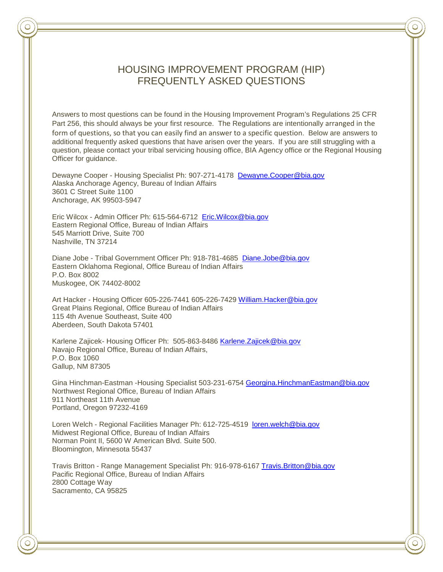# HOUSING IMPROVEMENT PROGRAM (HIP) FREQUENTLY ASKED QUESTIONS

Answers to most questions can be found in the Housing Improvement Program's Regulations 25 CFR Part 256, this should always be your first resource. The Regulations are intentionally arranged in the form of questions, so that you can easily find an answer to a specific question. Below are answers to additional frequently asked questions that have arisen over the years. If you are still struggling with a question, please contact your tribal servicing housing office, BIA Agency office or the Regional Housing Officer for guidance.

Dewayne Cooper - Housing Specialist Ph: 907-271-4178 [Dewayne.Cooper@bia.gov](mailto:Dewayne.Cooper@bia.gov) Alaska Anchorage Agency, Bureau of Indian Affairs 3601 C Street Suite 1100 Anchorage, AK 99503-5947

Eric Wilcox - Admin Officer Ph: 615-564-6712 [Eric.Wilcox@bia.gov](mailto:Eric.Wilcox@bia.gov) Eastern Regional Office, Bureau of Indian Affairs 545 Marriott Drive, Suite 700 Nashville, TN 37214

Diane Jobe - Tribal Government Officer Ph: 918-781-4685 [Diane.Jobe@bia.gov](mailto:Diane.Jobe@bia.gov) Eastern Oklahoma Regional, Office Bureau of Indian Affairs P.O. Box 8002 Muskogee, OK 74402-8002

Art Hacker - Housing Officer 605-226-7441 605-226-7429 [William.Hacker@bia.gov](mailto:William.Hacker@bia.gov) Great Plains Regional, Office Bureau of Indian Affairs 115 4th Avenue Southeast, Suite 400 Aberdeen, South Dakota 57401

Karlene Zajicek- Housing Officer Ph: 505-863-8486 [Karlene.Zajicek@bia.gov](mailto:Karlene.Zajicek@bia.gov) Navajo Regional Office, Bureau of Indian Affairs, P.O. Box 1060 Gallup, NM 87305

Gina Hinchman-Eastman -Housing Specialist 503-231-6754 [Georgina.HinchmanEastman@bia.gov](mailto:Georgina.HinchmanEastman@bia.gov) Northwest Regional Office, Bureau of Indian Affairs 911 Northeast 11th Avenue Portland, Oregon 97232-4169

Loren Welch - Regional Facilities Manager Ph: 612-725-4519 [loren.welch@bia.gov](mailto:loren.welch@bia.gov) Midwest Regional Office, Bureau of Indian Affairs Norman Point II, 5600 W American Blvd. Suite 500. Bloomington, Minnesota 55437

Travis Britton - Range Management Specialist Ph: 916-978-6167 [Travis.Britton@bia.gov](mailto:Travis.Britton@bia.gov) Pacific Regional Office, Bureau of Indian Affairs 2800 Cottage Way Sacramento, CA 95825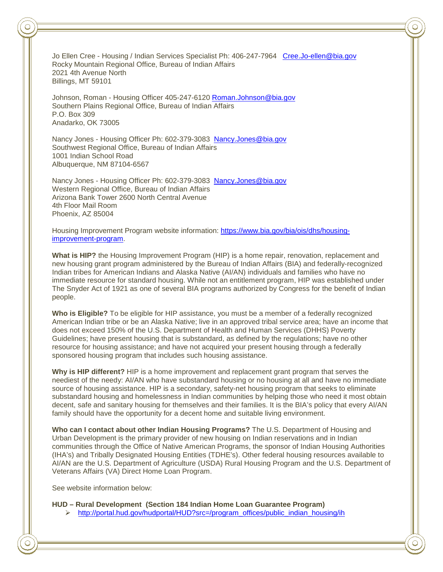Jo Ellen Cree - Housing / Indian Services Specialist Ph: 406-247-7964 [Cree.Jo-ellen@bia.gov](mailto:Cree.Jo-ellen@bia.gov) Rocky Mountain Regional Office, Bureau of Indian Affairs 2021 4th Avenue North Billings, MT 59101

Johnson, Roman - Housing Officer 405-247-6120 [Roman.Johnson@bia.gov](mailto:Roman.Johnson@bia.gov)  Southern Plains Regional Office, Bureau of Indian Affairs P.O. Box 309 Anadarko, OK 73005

Nancy Jones - Housing Officer Ph: 602-379-3083 Nancy.Jones@bia.gov Southwest Regional Office, Bureau of Indian Affairs 1001 Indian School Road Albuquerque, NM 87104-6567

Nancy Jones - Housing Officer Ph: 602-379-3083 [Nancy.Jones@bia.gov](mailto:Nancy.Jones@bia.gov) Western Regional Office, Bureau of Indian Affairs Arizona Bank Tower 2600 North Central Avenue 4th Floor Mail Room Phoenix, AZ 85004

Housing Improvement Program website information: [https://www.bia.gov/bia/ois/dhs/housing](https://www.bia.gov/bia/ois/dhs/housing-improvement-program)[improvement-program.](https://www.bia.gov/bia/ois/dhs/housing-improvement-program)

**What is HIP?** the Housing Improvement Program (HIP) is a home repair, renovation, replacement and new housing grant program administered by the Bureau of Indian Affairs (BIA) and federally-recognized Indian tribes for American Indians and Alaska Native (AI/AN) individuals and families who have no immediate resource for standard housing. While not an entitlement program, HIP was established under The Snyder Act of 1921 as one of several BIA programs authorized by Congress for the benefit of Indian people.

**Who is Eligible?** To be eligible for HIP assistance, you must be a member of a federally recognized American Indian tribe or be an Alaska Native; live in an approved tribal service area; have an income that does not exceed 150% of the U.S. Department of Health and Human Services (DHHS) Poverty Guidelines; have present housing that is substandard, as defined by the regulations; have no other resource for housing assistance; and have not acquired your present housing through a federally sponsored housing program that includes such housing assistance.

**Why is HIP different?** HIP is a home improvement and replacement grant program that serves the neediest of the needy: AI/AN who have substandard housing or no housing at all and have no immediate source of housing assistance. HIP is a secondary, safety-net housing program that seeks to eliminate substandard housing and homelessness in Indian communities by helping those who need it most obtain decent, safe and sanitary housing for themselves and their families. It is the BIA's policy that every AI/AN family should have the opportunity for a decent home and suitable living environment.

**Who can I contact about other Indian Housing Programs?** The U.S. Department of Housing and Urban Development is the primary provider of new housing on Indian reservations and in Indian communities through the Office of Native American Programs, the sponsor of Indian Housing Authorities (IHA's) and Tribally Designated Housing Entities (TDHE's). Other federal housing resources available to AI/AN are the U.S. Department of Agriculture (USDA) Rural Housing Program and the U.S. Department of Veterans Affairs (VA) Direct Home Loan Program.

See website information below:

**HUD – Rural Development (Section 184 Indian Home Loan Guarantee Program)**

[http://portal.hud.gov/hudportal/HUD?src=/program\\_offices/public\\_indian\\_housing/ih](http://portal.hud.gov/hudportal/HUD?src=/program_offices/public_indian_housing/ih)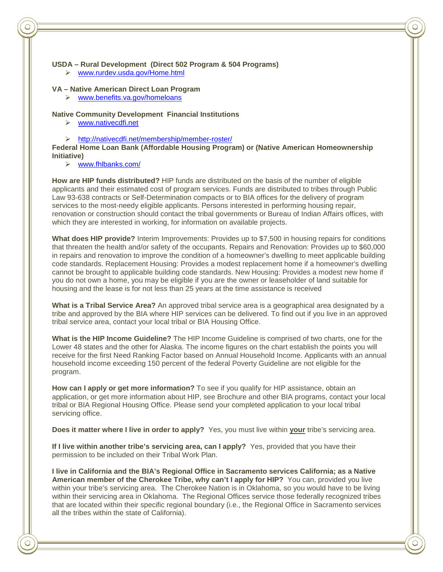#### **USDA – Rural Development (Direct 502 Program & 504 Programs)**

[www.rurdev.usda.gov/Home.html](http://www.rurdev.usda.gov/Home.html)

#### **VA – Native American Direct Loan Program**

[www.benefits.va.gov/homeloans](http://www.benefits.va.gov/homeloans)

### **Native Community Development Financial Institutions**

- [www.nativecdfi.net](http://www.nativecdfi.net/)
- <http://nativecdfi.net/membership/member-roster/>

**Federal Home Loan Bank (Affordable Housing Program) or (Native American Homeownership Initiative)** 

[www.fhlbanks.com/](http://www.fhlbanks.com/)

**How are HIP funds distributed?** HIP funds are distributed on the basis of the number of eligible applicants and their estimated cost of program services. Funds are distributed to tribes through Public Law 93-638 contracts or Self-Determination compacts or to BIA offices for the delivery of program services to the most-needy eligible applicants. Persons interested in performing housing repair, renovation or construction should contact the tribal governments or Bureau of Indian Affairs offices, with which they are interested in working, for information on available projects.

**What does HIP provide?** Interim Improvements: Provides up to \$7,500 in housing repairs for conditions that threaten the health and/or safety of the occupants. Repairs and Renovation: Provides up to \$60,000 in repairs and renovation to improve the condition of a homeowner's dwelling to meet applicable building code standards. Replacement Housing: Provides a modest replacement home if a homeowner's dwelling cannot be brought to applicable building code standards. New Housing: Provides a modest new home if you do not own a home, you may be eligible if you are the owner or leaseholder of land suitable for housing and the lease is for not less than 25 years at the time assistance is received

**What is a Tribal Service Area?** An approved tribal service area is a geographical area designated by a tribe and approved by the BIA where HIP services can be delivered. To find out if you live in an approved tribal service area, contact your local tribal or BIA Housing Office.

**What is the HIP Income Guideline?** The HIP Income Guideline is comprised of two charts, one for the Lower 48 states and the other for Alaska. The income figures on the chart establish the points you will receive for the first Need Ranking Factor based on Annual Household Income. Applicants with an annual household income exceeding 150 percent of the federal Poverty Guideline are not eligible for the program.

**How can I apply or get more information?** To see if you qualify for HIP assistance, obtain an application, or get more information about HIP, see Brochure and other BIA programs, contact your local tribal or BIA Regional Housing Office. Please send your completed application to your local tribal servicing office.

**Does it matter where I live in order to apply?** Yes, you must live within **your** tribe's servicing area.

**If I live within another tribe's servicing area, can I apply?** Yes, provided that you have their permission to be included on their Tribal Work Plan.

**I live in California and the BIA's Regional Office in Sacramento services California; as a Native American member of the Cherokee Tribe, why can't I apply for HIP?** You can, provided you live within your tribe's servicing area. The Cherokee Nation is in Oklahoma, so you would have to be living within their servicing area in Oklahoma. The Regional Offices service those federally recognized tribes that are located within their specific regional boundary (i.e., the Regional Office in Sacramento services all the tribes within the state of California).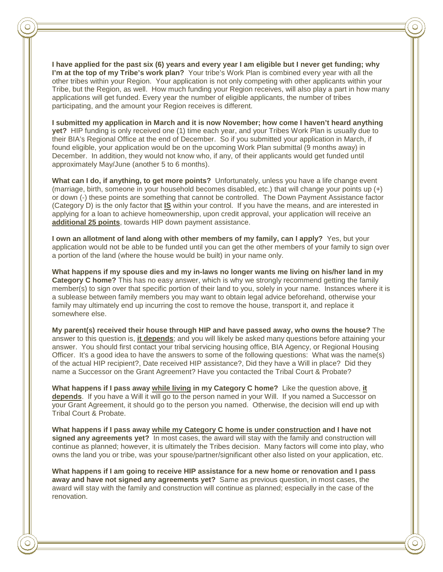**I have applied for the past six (6) years and every year I am eligible but I never get funding; why I'm at the top of my Tribe's work plan?** Your tribe's Work Plan is combined every year with all the other tribes within your Region. Your application is not only competing with other applicants within your Tribe, but the Region, as well. How much funding your Region receives, will also play a part in how many applications will get funded. Every year the number of eligible applicants, the number of tribes participating, and the amount your Region receives is different.

**I submitted my application in March and it is now November; how come I haven't heard anything yet?** HIP funding is only received one (1) time each year, and your Tribes Work Plan is usually due to their BIA's Regional Office at the end of December. So if you submitted your application in March, if found eligible, your application would be on the upcoming Work Plan submittal (9 months away) in December. In addition, they would not know who, if any, of their applicants would get funded until approximately May/June (another 5 to 6 months).

**What can I do, if anything, to get more points?** Unfortunately, unless you have a life change event (marriage, birth, someone in your household becomes disabled, etc.) that will change your points up (+) or down (-) these points are something that cannot be controlled. The Down Payment Assistance factor (Category D) is the only factor that **IS** within your control. If you have the means, and are interested in applying for a loan to achieve homeownership, upon credit approval, your application will receive an **additional 25 points**, towards HIP down payment assistance.

**I own an allotment of land along with other members of my family, can I apply?** Yes, but your application would not be able to be funded until you can get the other members of your family to sign over a portion of the land (where the house would be built) in your name only.

**What happens if my spouse dies and my in-laws no longer wants me living on his/her land in my Category C home?** This has no easy answer, which is why we strongly recommend getting the family member(s) to sign over that specific portion of their land to you, solely in your name. Instances where it is a sublease between family members you may want to obtain legal advice beforehand, otherwise your family may ultimately end up incurring the cost to remove the house, transport it, and replace it somewhere else.

**My parent(s) received their house through HIP and have passed away, who owns the house?** The answer to this question is, **it depends**; and you will likely be asked many questions before attaining your answer. You should first contact your tribal servicing housing office, BIA Agency, or Regional Housing Officer. It's a good idea to have the answers to some of the following questions: What was the name(s) of the actual HIP recipient?, Date received HIP assistance?, Did they have a Will in place? Did they name a Successor on the Grant Agreement? Have you contacted the Tribal Court & Probate?

**What happens if I pass away while living in my Category C home?** Like the question above, **it depends**. If you have a Will it will go to the person named in your Will. If you named a Successor on your Grant Agreement, it should go to the person you named. Otherwise, the decision will end up with Tribal Court & Probate.

**What happens if I pass away while my Category C home is under construction and I have not signed any agreements yet?** In most cases, the award will stay with the family and construction will continue as planned; however, it is ultimately the Tribes decision. Many factors will come into play, who owns the land you or tribe, was your spouse/partner/significant other also listed on your application, etc.

**What happens if I am going to receive HIP assistance for a new home or renovation and I pass away and have not signed any agreements yet?** Same as previous question, in most cases, the award will stay with the family and construction will continue as planned; especially in the case of the renovation.